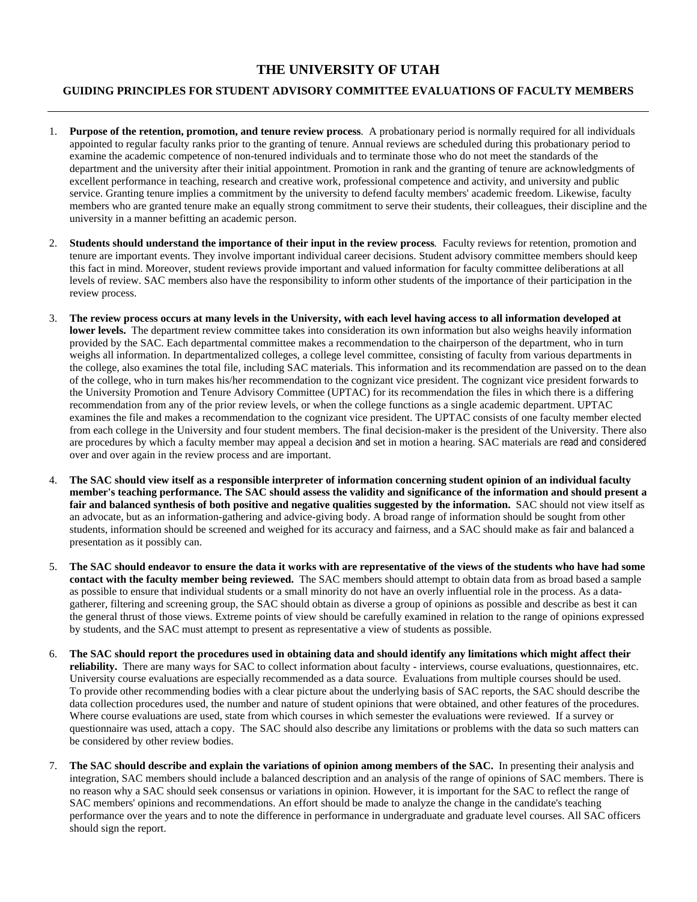## **THE UNIVERSITY OF UTAH**

## **GUIDING PRINCIPLES FOR STUDENT ADVISORY COMMITTEE EVALUATIONS OF FACULTY MEMBERS**

- 1. **Purpose of the retention, promotion, and tenure review process**. A probationary period is normally required for all individuals appointed to regular faculty ranks prior to the granting of tenure. Annual reviews are scheduled during this probationary period to examine the academic competence of non-tenured individuals and to terminate those who do not meet the standards of the department and the university after their initial appointment. Promotion in rank and the granting of tenure are acknowledgments of excellent performance in teaching, research and creative work, professional competence and activity, and university and public service. Granting tenure implies a commitment by the university to defend faculty members' academic freedom. Likewise, faculty members who are granted tenure make an equally strong commitment to serve their students, their colleagues, their discipline and the university in a manner befitting an academic person.
- 2. **Students should understand the importance of their input in the review process***.* Faculty reviews for retention, promotion and tenure are important events. They involve important individual career decisions. Student advisory committee members should keep this fact in mind. Moreover, student reviews provide important and valued information for faculty committee deliberations at all levels of review. SAC members also have the responsibility to inform other students of the importance of their participation in the review process.
- 3. **The review process occurs at many levels in the University, with each level having access to all information developed at lower levels.** The department review committee takes into consideration its own information but also weighs heavily information provided by the SAC. Each departmental committee makes a recommendation to the chairperson of the department, who in turn weighs all information. In departmentalized colleges, a college level committee, consisting of faculty from various departments in the college, also examines the total file, including SAC materials. This information and its recommendation are passed on to the dean of the college, who in turn makes his/her recommendation to the cognizant vice president. The cognizant vice president forwards to the University Promotion and Tenure Advisory Committee (UPTAC) for its recommendation the files in which there is a differing recommendation from any of the prior review levels, or when the college functions as a single academic department. UPTAC examines the file and makes a recommendation to the cognizant vice president. The UPTAC consists of one faculty member elected from each college in the University and four student members. The final decision-maker is the president of the University. There also are procedures by which a faculty member may appeal a decision and set in motion a hearing. SAC materials are read and considered over and over again in the review process and are important.
- 4. **The SAC should view itself as a responsible interpreter of information concerning student opinion of an individual faculty member's teaching performance. The SAC should assess the validity and significance of the information and should present a**  fair and balanced synthesis of both positive and negative qualities suggested by the information. SAC should not view itself as an advocate, but as an information-gathering and advice-giving body. A broad range of information should be sought from other students, information should be screened and weighed for its accuracy and fairness, and a SAC should make as fair and balanced a presentation as it possibly can.
- 5. **The SAC should endeavor to ensure the data it works with are representative of the views of the students who have had some contact with the faculty member being reviewed.** The SAC members should attempt to obtain data from as broad based a sample as possible to ensure that individual students or a small minority do not have an overly influential role in the process. As a datagatherer, filtering and screening group, the SAC should obtain as diverse a group of opinions as possible and describe as best it can the general thrust of those views. Extreme points of view should be carefully examined in relation to the range of opinions expressed by students, and the SAC must attempt to present as representative a view of students as possible.
- 6. **The SAC should report the procedures used in obtaining data and should identify any limitations which might affect their reliability.** There are many ways for SAC to collect information about faculty - interviews, course evaluations, questionnaires, etc. University course evaluations are especially recommended as a data source. Evaluations from multiple courses should be used. To provide other recommending bodies with a clear picture about the underlying basis of SAC reports, the SAC should describe the data collection procedures used, the number and nature of student opinions that were obtained, and other features of the procedures. Where course evaluations are used, state from which courses in which semester the evaluations were reviewed. If a survey or questionnaire was used, attach a copy. The SAC should also describe any limitations or problems with the data so such matters can be considered by other review bodies.
- 7. **The SAC should describe and explain the variations of opinion among members of the SAC.** In presenting their analysis and integration, SAC members should include a balanced description and an analysis of the range of opinions of SAC members. There is no reason why a SAC should seek consensus or variations in opinion. However, it is important for the SAC to reflect the range of SAC members' opinions and recommendations. An effort should be made to analyze the change in the candidate's teaching performance over the years and to note the difference in performance in undergraduate and graduate level courses. All SAC officers should sign the report.